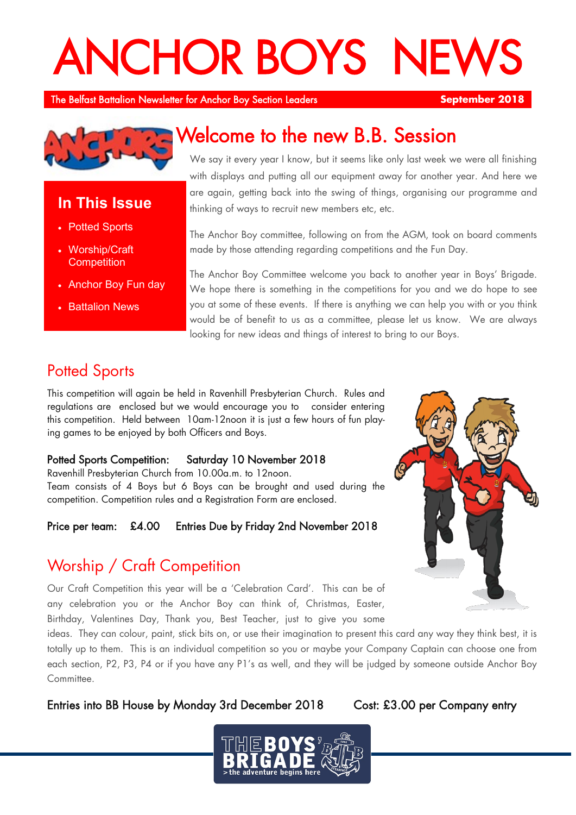# **ANCHOR BOYS NE**

The Belfast Battalion Newsletter for Anchor Boy Section Leaders **September 2018** 



## **In This Issue**

- Potted Sports
- Worship/Craft **Competition**
- Anchor Boy Fun day
- **Battalion News**

# Welcome to the new B.B. Session

We say it every year I know, but it seems like only last week we were all finishing with displays and putting all our equipment away for another year. And here we are again, getting back into the swing of things, organising our programme and thinking of ways to recruit new members etc, etc.

The Anchor Boy committee, following on from the AGM, took on board comments made by those attending regarding competitions and the Fun Day.

The Anchor Boy Committee welcome you back to another year in Boys' Brigade. We hope there is something in the competitions for you and we do hope to see you at some of these events. If there is anything we can help you with or you think would be of benefit to us as a committee, please let us know. We are always looking for new ideas and things of interest to bring to our Boys.

## **Potted Sports**

This competition will again be held in Ravenhill Presbyterian Church. Rules and regulations are enclosed but we would encourage you to consider entering this competition. Held between 10am-12noon it is just a few hours of fun playing games to be enjoyed by both Officers and Boys.

### Potted Sports Competition: Saturday 10 November 2018

Ravenhill Presbyterian Church from 10.00a.m. to 12noon. Team consists of 4 Boys but 6 Boys can be brought and used during the competition. Competition rules and a Registration Form are enclosed.

## Price per team: £4.00 Entries Due by Friday 2nd November 2018

## Worship / Craft Competition

Our Craft Competition this year will be a 'Celebration Card'. This can be of any celebration you or the Anchor Boy can think of, Christmas, Easter, Birthday, Valentines Day, Thank you, Best Teacher, just to give you some



ideas. They can colour, paint, stick bits on, or use their imagination to present this card any way they think best, it is totally up to them. This is an individual competition so you or maybe your Company Captain can choose one from each section, P2, P3, P4 or if you have any P1's as well, and they will be judged by someone outside Anchor Boy Committee.

Entries into BB House by Monday 3rd December 2018 Cost: £3.00 per Company entry